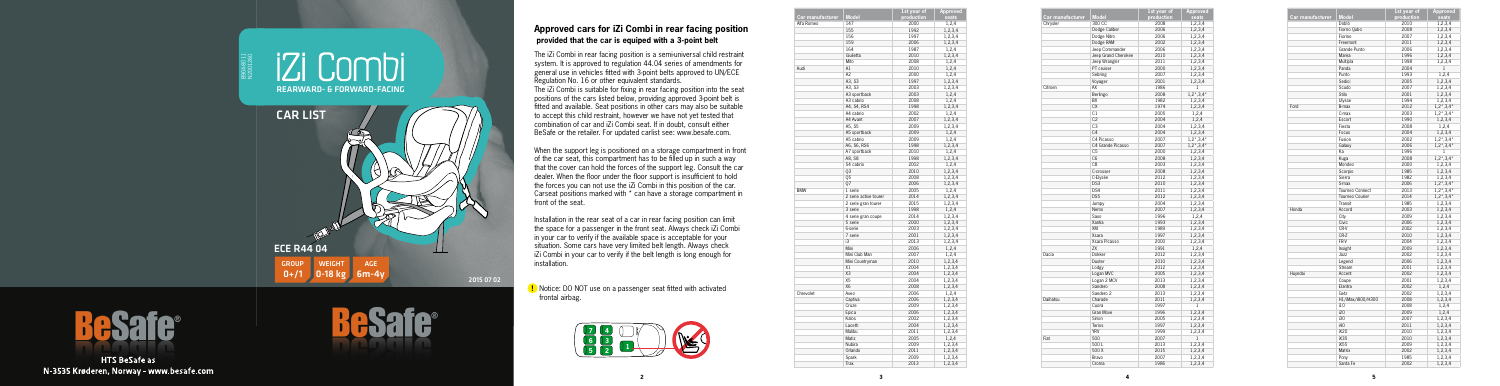|                         |                       | 1st year of | <b>Approved</b>    |
|-------------------------|-----------------------|-------------|--------------------|
| <b>Car manufacturer</b> | <b>Model</b>          | production  | seats              |
| Alfa Romeo              | 147                   | 2000        | 1,2,4              |
|                         | 155                   | 1992        | 1,2,3,4            |
|                         | 156                   | 1997        | 1,2,3,4            |
|                         | 159                   | 2006        | 1,2,3,4            |
|                         | 164                   | 1987        | 1,2,4              |
|                         | Giulietta             | 2010        | 1,2,3,4            |
|                         | Mito                  | 2008        | 1,2,4              |
| Audi                    | A1                    | 2010        | 1,2,4              |
|                         | A2                    | 2000        | 1,2,4              |
|                         | A3, S3                | 1997        | 1,2,3,4            |
|                         | A3, S3                | 2003        | 1,2,3,4            |
|                         | A3 sportback          | 2003        | 1,2,4              |
|                         | A3 cabrio             | 2008        | 1,2,4              |
|                         | A4, S4, RS4           | 1998        | 1,2,3,4            |
|                         | A4 cabrio             | 2002        | 1,2,4              |
|                         | A4 Avant              | 2007        | 1,2,3,4            |
|                         | A5, S5                | 2009        | 1,2,3,4            |
|                         | A5 sportback          | 2009        | 1,2,4              |
|                         | A5 cabrio             | 2009        | 1,2,4              |
|                         | A6, S6, RS6           | 1998        | 1,2,3,4            |
|                         | A7 sportback          | 2010        | 1,2,4              |
|                         | A8, S8                | 1998        | 1,2,3,4            |
|                         | S4 cabrio             | 2002        | 1,2,4              |
|                         | Q3                    | 2010        | 1,2,3,4            |
|                         | 05                    | 2008        | 1,2,3,4            |
|                         | 07                    | 2006        | 1,2,3,4            |
| <b>BMW</b>              | 1 serie               | 2005        | 1,2,4              |
|                         | 2 serie active tourer | 2014        | 1,2,3,4            |
|                         | 2 serie gran tourer   | 2015        | 1,2,3,4            |
|                         | 3 serie               | 1998        | 1,2,4              |
|                         | 4 serie gran coupe    | 2014        | 1,2,3,4            |
|                         | 5 serie               | 2000        | 1,2,3,4            |
|                         | 6-serie               | 2003        |                    |
|                         | 7 serie               | 2001        | 1,2,3,4<br>1.2.3.4 |
|                         | i3                    | 2013        |                    |
|                         | Mini                  | 2006        | 1,2,3,4            |
|                         | Mini Club Man         |             | 1,2,4              |
|                         |                       | 2007        | 1,2,4              |
|                         | Mini Countryman       | 2010        | 1,2,3,4            |
|                         | X1                    | 2004        | 1,2,3,4            |
|                         | X <sub>3</sub>        | 2004        | 1,2,3,4            |
|                         | X <sub>5</sub>        | 2004        | 1,2,3,4            |
|                         | X6                    | 2008        | 1,2,3,4            |
| Chrevolet               | Aveo                  | 2006        | 1,2,4              |
|                         | Captiva               | 2006        | 1,2,3,4            |
|                         | Cruze                 | 2009        | 1,2,3,4            |
|                         | Epica                 | 2006        | 1,2,3,4            |
|                         | Kalos                 | 2002        | 1,2,3,4            |
|                         | Lacetti               | 2004        | 1,2,3,4            |
|                         | Malibu                | 2011        | 1,2,3,4            |
|                         | Matiz                 | 2005        | 1,2,4              |
|                         | Nubira                | 2009        | 1,2,3,4            |
|                         | Orlando               | 2011        | 1,2,3,4            |
|                         | Spark                 | 2009        | 1,2,3,4            |
|                         | Trax                  | 2013        | 1,2,3,4            |

| Car manufacturer | <b>Model</b>        | 1st year of<br>production | Approved<br>seats         |
|------------------|---------------------|---------------------------|---------------------------|
| Chrysler         | 300 CC              | 2008                      | 1,2,3,4                   |
|                  | Dodge Caliber       | 2006                      |                           |
|                  |                     |                           | 1,2,3,4                   |
|                  | Dodge Nitro         | 2006                      | 1,2,3,4                   |
|                  | Dodge RAM           | 2002                      | 1,2,3,4                   |
|                  | Jeep Commander      | 2006                      | 1,2,3,4                   |
|                  | Jeep Grand Cherokee | 2010                      | 1,2,3,4                   |
|                  | Jeep Wrangler       | 2011                      | 1,2,3,4                   |
|                  | PT cruiser          | 2000                      | 1,2,3,4                   |
|                  | Sebring             | 2007                      | 1,2,3,4                   |
|                  | Voyager             | 2001                      | 1,2,3,4                   |
| Citroen          | AX                  | 1986                      | 1                         |
|                  | Berlingo            | 2008                      | $1,2^{\star},3,4^{\star}$ |
|                  | BX                  | 1982                      | 1,2,3,4                   |
|                  | C X                 | 1974                      | 1,2,3,4                   |
|                  | C1                  | 2005                      | 1,2,4                     |
|                  | C <sub>2</sub>      | 2004                      | 1,2,4                     |
|                  | C <sub>3</sub>      | 2004                      | 1,2,3,4                   |
|                  | C <sub>4</sub>      | 2004                      | 1,2,3,4                   |
|                  | C4 Picasso          | 2007                      |                           |
|                  |                     |                           | $1,2^{\star},3,4^{\star}$ |
|                  | C4 Grande Picasso   | 2007                      | $1,2^{\star},3,4^{\star}$ |
|                  | C <sub>5</sub>      | 2000                      | 1,2,3,4                   |
|                  | C <sub>6</sub>      | 2008                      | 1,2,3,4                   |
|                  | C <sub>8</sub>      | 2003                      | 1,2,3,4                   |
|                  | C-crosser           | 2008                      | 1,2,3,4                   |
|                  | C-Elysée            | 2012                      | 1,2,3,4                   |
|                  | DS3                 | 2010                      | 1,2,3,4                   |
|                  | DS4                 | 2011                      | 1,2,3,4                   |
|                  | DS5                 | 2012                      | 1,2,3,4                   |
|                  | Jumpy               | 2004                      | 1,2,3,4                   |
|                  | Nemo                | 2007                      | 1,2,3,4                   |
|                  | Saxo                | 1996                      | 1,2,4                     |
|                  | Xantia              | 1993                      | 1,2,3,4                   |
|                  | XM                  | 1989                      | 1,2,3,4                   |
|                  | Xsara               | 1997                      | 1,2,3,4                   |
|                  | Xsara Picasso       | 2000                      | 1,2,3,4                   |
|                  | ZX                  | 1991                      |                           |
| Dacia            |                     | 2012                      | 1,2,4                     |
|                  | Dokker              |                           | 1,2,3,4                   |
|                  | Duster              | 2010                      | 1,2,3,4                   |
|                  | Lodgy               | 2012                      | 1,2,3,4                   |
|                  | Logan MVC           | 2005                      | 1,2,3,4                   |
|                  | Logan 2 MCV         | 2013                      | 1,2,3,4                   |
|                  | Sandero             | 2008                      | 1,2,3,4                   |
|                  | Sandero 2           | 2013                      | 1,2,3,4                   |
| Daihatsu         | Charade             | 2011                      | 1,2,3,4                   |
|                  | Cuora               | 1997                      | $\mathbf{1}$              |
|                  | Gran Move           | 1996                      | 1,2,3,4                   |
|                  | Sirion              | 2005                      | 1,2,3,4                   |
|                  | Terios              | 1997                      | 1,2,3,4                   |
|                  | <b>YRV</b>          | 1999                      | 1,2,3,4                   |
| Fiat             | 500                 | 2007                      | 1                         |
|                  | 500L                | 2013                      | 1,2,3,4                   |
|                  |                     |                           |                           |
|                  | 500 X               | 2015                      | 1,2,3,4                   |
|                  | Bravo               | 2007                      | 1,2,3,4                   |
|                  | Croma               | 1986                      | 1,2,3,4                   |

|                  |                   | 1st year of | <b>Approved</b>                 |
|------------------|-------------------|-------------|---------------------------------|
| Car manufacturer | <b>Model</b>      | production  | seats                           |
|                  | Doblò             | 2010        | 1,2,3,4                         |
|                  | Fiorno Qubo       | 2008        | 1,2,3,4                         |
|                  | Fiorino           | 2007        | 1,2,3,4                         |
|                  | Freemont          | 2011        | 1,2,3,4                         |
|                  | Grande Punto      | 2006        | 1.2.3.4                         |
|                  | Marea             | 1996        | 1,2,3,4                         |
|                  | Multipla          | 1998        | 1,2,3,4                         |
|                  | Panda             | 2004        | $\mathbf{1}$                    |
|                  | Punto             | 1993        | 1,2,4                           |
|                  | Sedici            | 2005        | 1,2,3,4                         |
|                  | Scudo             | 2007        | 1,2,3,4                         |
|                  | Stilo             | 2001        | 1,2,3,4                         |
|                  | Ulysse            | 1994        | 1,2,3,4                         |
| Ford             | B-max             | 2012        | $1,2^{\star}$ , 3, 4 $^{\star}$ |
|                  | C-max             | 2003        | $1, 2^*, 3, 4^*$                |
|                  | Escort            | 1990        | 1,2,3,4                         |
|                  | Fiesta            | 2008        | 1,2,4                           |
|                  | Focus             | 2004        | 1,2,3,4                         |
|                  | Fusion            | 2002        | $1,2^{\star}$ , 3, 4 $^{\star}$ |
|                  | Galaxy            | 2006        | $1,2^*,3,4^*$                   |
|                  | Ka                | 1996        | 1                               |
|                  | Kuga              | 2008        | $1,2^{\star},3,4^{\star}$       |
|                  | Mondeo            | 2000        | 1,2,3,4                         |
|                  | Scorpio           | 1985        | 1,2,3,4                         |
|                  | Sierra            | 1982        | 1,2,3,4                         |
|                  | S-max             | 2006        | $1,2^{\star}$ , 3,4 $^{\star}$  |
|                  | Tourneo Connect   | 2013        | $1,2^{\star},3,4^{\star}$       |
|                  | Tourneo Courier   | 2014        | $1,2^*,3,4^*$                   |
|                  | Transit           | 1985        | 1,2,3,4                         |
| Honda            | Accord            | 2003        | 1,2,3,4                         |
|                  | City              | 2009        | 1,2,3,4                         |
|                  | Civic             | 2006        | 1,2,3,4                         |
|                  | CR-V              | 2002        | 1,2,3,4                         |
|                  | CR-Z              | 2010        | 1,2,3,4                         |
|                  | FR-V              | 2004        | 1,2,3,4                         |
|                  | Insight           | 2009        | 1,2,3,4                         |
|                  | Jazz              | 2002        | 1,2,3,4                         |
|                  | Legend            | 2006        | 1,2,3,4                         |
|                  | Stream            | 2001        | 1,2,3,4                         |
| Huyndai          | Accent            | 2002        | 1,2,3,4                         |
|                  | Coupe             | 2001        | 1,2,3,4                         |
|                  | Elantra           | 2002        | 1,2,4                           |
|                  | Getz              | 2002        | 1,2,3,4                         |
|                  | H1/iMax/i800/H300 | 2008        | 1,2,3,4                         |
|                  | i10               | 2008        | 1,2,4                           |
|                  | i20               | 2009        |                                 |
|                  | i30               | 2007        | 1,2,4<br>1,2,3,4                |
|                  | i40               | 2011        |                                 |
|                  |                   |             | 1,2,3,4                         |
|                  | iX20              | 2010        | 1,2,3,4                         |
|                  | iX35              | 2010        | 1,2,3,4                         |
|                  | iX55              | 2009        | 1,2,3,4                         |
|                  | <b>Matrix</b>     | 2002        | 1,2,3,4                         |
|                  | Pony              | 1985        | 1,2,3,4                         |
|                  | Santa Fe          | 2002        | 1,2,3,4                         |

 **!** Notice: DO NOT use on a passenger seat fitted with activated frontal airbag.

## **Approved cars for iZi Combi in rear facing position provided that the car is equiped with a 3-point belt**

The iZi Combi in rear facing position is a semi-universal child restraint system. It is approved to regulation 44.04 series of amendments for general use in vehicles fitted with 3-point belts approved to UN/ECE Regulation No. 16 or other equivalent standards.

 The iZi Combi is suitable for fixing in rear facing position into the seat positions of the cars listed below, providing approved 3-point belt is fitted and available. Seat positions in other cars may also be suitable to accept this child restraint, however we have not yet tested that combination of car and iZi Combi seat. If in doubt, consult either BeSafe or the retailer. For updated carlist see: www.besafe.com.





**HTS BeSafe as** N-3535 Krøderen, Norway - www.besafe.com



When the support leg is positioned on a storage compartment in front of the car seat, this compartment has to be filled up in such a way that the cover can hold the forces of the support leg. Consult the car dealer. When the floor under the floor support is insufficient to hold the forces you can not use the iZi Combi in this position of the car. Carseat positions marked with \* can have a storage compartment in front of the seat.

Installation in the rear seat of a car in rear facing position can limit the space for a passenger in the front seat. Always check iZi Combi in your car to verify if the available space is acceptable for your situation. Some cars have very limited belt length. Always check iZi Combi in your car to verify if the belt length is long enough for installation.